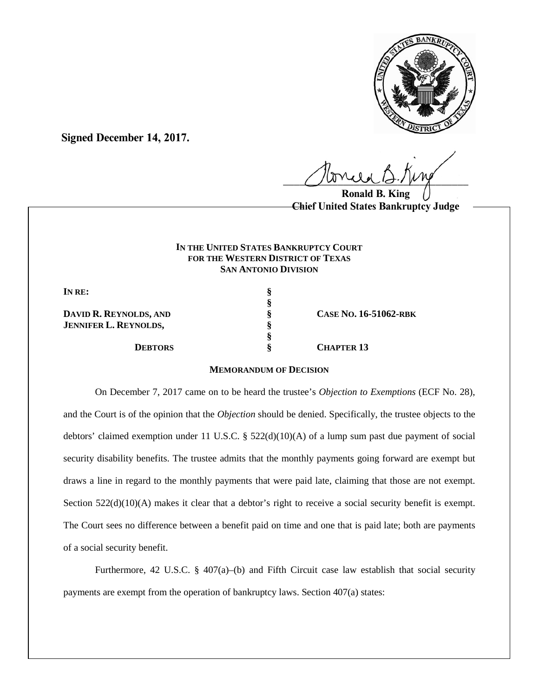

**Signed December 14, 2017.**

 $U^{WVWW}$ 

**Ronald B. Chief United States Bankruptcy Judge**

## **IN THE UNITED STATES BANKRUPTCY COURT FOR THE WESTERN DISTRICT OF TEXAS SAN ANTONIO DIVISION**

**§** 

**§** 

**IN RE: §** 

**DAVID R. REYNOLDS, AND § CASE NO. 16-51062-RBK JENNIFER L. REYNOLDS, §** 

**DEBTORS § CHAPTER 13** 

## **MEMORANDUM OF DECISION**

On December 7, 2017 came on to be heard the trustee's *Objection to Exemptions* (ECF No. 28), and the Court is of the opinion that the *Objection* should be denied. Specifically, the trustee objects to the debtors' claimed exemption under 11 U.S.C. §  $522(d)(10)(A)$  of a lump sum past due payment of social security disability benefits. The trustee admits that the monthly payments going forward are exempt but draws a line in regard to the monthly payments that were paid late, claiming that those are not exempt. Section 522(d)(10)(A) makes it clear that a debtor's right to receive a social security benefit is exempt. The Court sees no difference between a benefit paid on time and one that is paid late; both are payments of a social security benefit.

Furthermore, 42 U.S.C.  $\S$  407(a)–(b) and Fifth Circuit case law establish that social security payments are exempt from the operation of bankruptcy laws. Section 407(a) states: